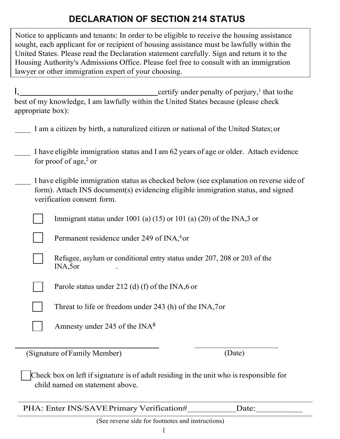# **DECLARATION OF SECTION 214 STATUS**

Notice to applicants and tenants: In order to be eligible to receive the housing assistance sought, each applicant for or recipient of housing assistance must be lawfully within the United States. Please read the Declaration statement carefully. Sign and return it to the Housing Authority's Admissions Office. Please feel free to consult with an immigration lawyer or other immigration expert of your choosing.

| certify under penalty of perjury, <sup>1</sup> that to the<br>best of my knowledge, I am lawfully within the United States because (please check<br>appropriate box):       |
|-----------------------------------------------------------------------------------------------------------------------------------------------------------------------------|
| I am a citizen by birth, a naturalized citizen or national of the United States; or                                                                                         |
| I have eligible immigration status and I am 62 years of age or older. Attach evidence<br>for proof of age, <sup>2</sup> or                                                  |
| I have eligible immigration status as checked below (see explanation on reverse side of<br>form). Attach INS document(s) evidencing eligible immigration status, and signed |

form). Attach INS document(s) evidencing eligible immigration status, and signed verification consent form.

Immigrant status under 1001 (a)  $(15)$  or 101 (a)  $(20)$  of the INA,3 or

Permanent residence under 249 of INA,<sup>4</sup> or

Refugee, asylum or conditional entry status under 207, 208 or 203 of the INA,5or .

Parole status under 212 (d) (f) of the INA,6 or

Threat to life or freedom under  $243$  (h) of the INA,7 or

(Signature of Family Member) (Date)

Check box on left if signature is of adult residing in the unit who is responsible for child named on statement above.

| PHA: Enter INS/SAVE Primary Verification# | Date: |
|-------------------------------------------|-------|

(See reverse side for footnotes and instructions)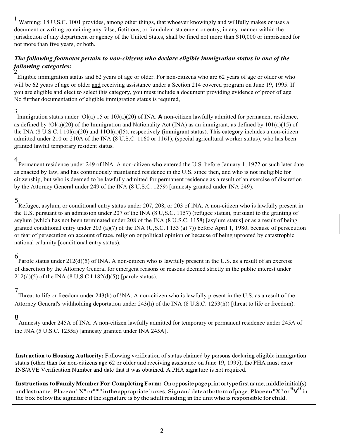<sup>1</sup> Warning: 18 U,S.C. 1001 provides, among other things, that whoever knowingly and willfully makes or uses a document or writing containing any false, fictitious, or fraudulent statement or entry, in any manner within the jurisdiction of any department or agency of the United States, shall be fined not more than \$10,000 or imprisoned for not more than five years, or both.

### *The following footnotes pertain to non-citizens who declare eligible immigration status in one of the following categories:*  $\overline{c}$

Eligible immigration status and 62 years of age or older. For non-citizens who are 62 years of age or older or who will be 62 years of age or older and receiving assistance under a Section 214 covered program on June 19, 1995. If you are eligible and elect to select this category, you must include a document providing evidence of proof of age. No further documentation of eligible immigration status is required,

### 3

Immigration status under !Ol(a) 15 or 10J(a)(20) of INA. **A** non-citizen lawfully admitted for permanent residence, as defined by !Ol(a)(20) of the Immigration and Nationality Act (INA) as an immigrant, as defined by 101(a)(15) of the INA  $(8 \text{ U.S.C. } 1\,01(a)(20)$  and  $11\text{O}(a)(15)$ , respectively (immigrant status). This category includes a non-citizen admitted under 210 or 210A of the INA (8 U.S.C. 1160 or 1161), (special agricultural worker status), who has been granted lawful temporary resident status.

4 Permanent residence under 249 of lNA. A non-citizen who entered the U.S. before January 1, 1972 or such later date as enacted by law, and has continuously maintained residence in the U.S. since then, and who is not ineligible for citizenship, but who is deemed to be lawfully admitted for permanent residence as a result of an exercise of discretion by the Attorney General under 249 of the INA (8 U,S.C. 1259) [amnesty granted under INA 249).

5 Refugee, asylum, or conditional entry status under 207, 208, or 203 of lNA. A non-citizen who is lawfully present in the U.S. pursuant to an admission under 207 of the INA (8 U,S.C. 1157) (refugee status), pursuant to the granting of asylum (which has not been terminated under 208 of the INA (8 U.S.C. 1158) [asylum status] or as a result of being granted conditional entry under 203 (a)(7) of the INA (U,S.C. l 153 (a) 7)) before April 1, 1980, because of persecution or fear of persecution on account of race, religion or political opinion or because of being uprooted by catastrophic national calamity [conditional entry status).

6 Parole status under 212(d)(5) of INA. A non-citizen who is lawfully present in the U.S. as a result of an exercise of discretion by the Attorney General for emergent reasons or reasons deemed strictly in the public interest under  $212(d)(5)$  of the INA (8 U,S.C I 182(d)(5)) [parole status).

7 Threat to life or freedom under 243(h) of !NA. A non-citizen who is lawfully present in the U.S. as a result of the Attorney General's withholding deportation under 243(h) of the INA (8 U.S.C. 1253(h)) [threat to life or freedom).

### 8

Amnesty under 245A of INA. A non-citizen lawfully admitted for temporary or permanent residence under 245A of the JNA (5 U.S.C. 1255a) [amnesty granted under INA 245A].

Instruction to Housing Authority: Following verification of status claimed by persons declaring eligible immigration status (other than for non-citizens age 62 or older and receiving assistance on June 19, 1995), the PHA must enter INS/AVE Verification Number and date that it was obtained. A PHA signature is not required.

Instructions to Family Member For Completing Form: On opposite page print or type first name, middle initial(s) and last name. Place an "X" or""" in the appropriate boxes. Sign and date at bottom of page. Place an "X" or " $V$ " in the box below the signature if the signature is by the adult residing in the unit who is responsible for child.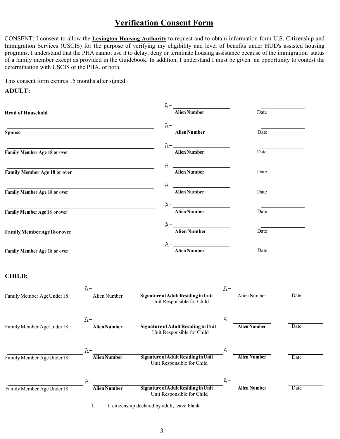## **Verification Consent Form**

CONSENT: I consent to allow the **Lexington Housing Authority** to request and to obtain information form U.S. Citizenship and Immigration Services (USCIS) for the purpose of verifying my eligibility and level of benefits under HUD's assisted housing programs. I understand that the PHA cannot use it to delay, deny or terminate housing assistance because of the immigration status of a family member except as provided in the Guidebook. In addition, I understand I must be given an opportunity to contest the determination with USCIS or the PHA, or both.

This consent form expires 15 months after signed.

#### **ADULT:**

| <b>Head of Household</b>            |    |                     |  |                                                                   | <b>Alien Number</b>                                               |      | Date                |      |
|-------------------------------------|----|---------------------|--|-------------------------------------------------------------------|-------------------------------------------------------------------|------|---------------------|------|
| <b>Spouse</b>                       |    |                     |  |                                                                   | <b>Alien Number</b>                                               |      | Date                |      |
|                                     |    |                     |  |                                                                   |                                                                   |      |                     |      |
| Family Member Age 18 or over        |    |                     |  |                                                                   | <b>Alien Number</b>                                               |      | Date                |      |
| <b>Family Member Age 18 or over</b> |    |                     |  |                                                                   | <b>Alien Number</b>                                               |      | Date                |      |
|                                     |    |                     |  |                                                                   |                                                                   |      |                     |      |
| Family Member Age 18 or over        |    |                     |  |                                                                   | <b>Alien Number</b>                                               |      | Date                |      |
| <b>Family Member Age 18 or over</b> |    |                     |  |                                                                   | <b>Alien Number</b>                                               |      | Date                |      |
|                                     |    |                     |  |                                                                   |                                                                   |      |                     |      |
| <b>Family Member Age 18 or over</b> |    |                     |  |                                                                   | <b>Alien Number</b>                                               |      | Date                |      |
| Family Member Age 18 or over        |    |                     |  | A-.                                                               | <b>Alien Number</b>                                               |      | Date                |      |
| <b>CHILD:</b>                       |    |                     |  |                                                                   |                                                                   |      |                     |      |
|                                     | A- |                     |  |                                                                   |                                                                   | A-   |                     |      |
| Family Member Age Under 18          |    | Alien Number        |  |                                                                   | Signature of Adult Residing in Unit<br>Unit Responsible for Child |      | Alien Number        | Date |
|                                     | A- |                     |  |                                                                   |                                                                   | A-   |                     |      |
| Family Member Age Under 18          |    | <b>Alien Number</b> |  | Signature of Adult Residing in Unit<br>Unit Responsible for Child |                                                                   |      | <b>Alien Number</b> | Date |
|                                     | А. |                     |  |                                                                   |                                                                   | $A-$ |                     |      |
| Family Member Age Under 18          |    | <b>Alien Number</b> |  |                                                                   | Signature of Adult Residing in Unit<br>Unit Responsible for Child |      | <b>Alien Number</b> | Date |
|                                     | A- |                     |  |                                                                   |                                                                   | A-   |                     |      |
| Family Member Age Under 18          |    | <b>Alien Number</b> |  |                                                                   | Signature of Adult Residing in Unit<br>Unit Responsible for Child |      | <b>Alien Number</b> | Date |

1. If citizenship declared by adult, leave blank